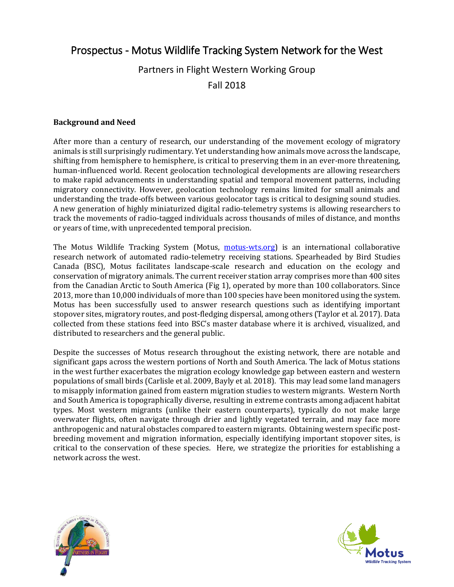## Prospectus - Motus Wildlife Tracking System Network for the West

# Partners in Flight Western Working Group Fall 2018

#### **Background and Need**

After more than a century of research, our understanding of the movement ecology of migratory animals is still surprisingly rudimentary. Yet understanding how animals move across the landscape, shifting from hemisphere to hemisphere, is critical to preserving them in an ever-more threatening, human-influenced world. Recent geolocation technological developments are allowing researchers to make rapid advancements in understanding spatial and temporal movement patterns, including migratory connectivity. However, geolocation technology remains limited for small animals and understanding the trade-offs between various geolocator tags is critical to designing sound studies. A new generation of highly miniaturized digital radio-telemetry systems is allowing researchers to track the movements of radio-tagged individuals across thousands of miles of distance, and months or years of time, with unprecedented temporal precision.

The Motus Wildlife Tracking System (Motu[s,](http://motus-wts.org/) *motus-wts.org*) is an international collaborative research network of automated radio-telemetry receiving stations. Spearheaded by Bird Studies Canada (BSC), Motus facilitates landscape-scale research and education on the ecology and conservation of migratory animals. The current receiver station array comprises more than 400 sites from the Canadian Arctic to South America (Fig 1), operated by more than 100 collaborators. Since 2013, more than 10,000 individuals of more than 100 species have been monitored using the system. Motus has been successfully used to answer research questions such as identifying important stopover sites, migratory routes, and post-fledging dispersal, among others (Taylor et al. 2017). Data collected from these stations feed into BSC's master database where it is archived, visualized, and distributed to researchers and the general public.

Despite the successes of Motus research throughout the existing network, there are notable and significant gaps across the western portions of North and South America. The lack of Motus stations in the west further exacerbates the migration ecology knowledge gap between eastern and western populations of small birds (Carlisle et al. 2009, Bayly et al. 2018). This may lead some land managers to misapply information gained from eastern migration studies to western migrants. Western North and South America is topographically diverse, resulting in extreme contrasts among adjacent habitat types. Most western migrants (unlike their eastern counterparts), typically do not make large overwater flights, often navigate through drier and lightly vegetated terrain, and may face more anthropogenic and natural obstacles compared to eastern migrants. Obtaining western specific postbreeding movement and migration information, especially identifying important stopover sites, is critical to the conservation of these species. Here, we strategize the priorities for establishing a network across the west.



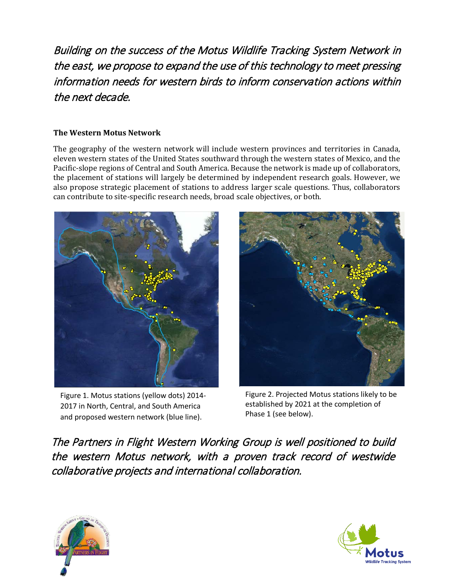Building on the success of the Motus Wildlife Tracking System Network in the east, we propose to expand the use of this technology to meet pressing information needs for western birds to inform conservation actions within the next decade.

### **The Western Motus Network**

The geography of the western network will include western provinces and territories in Canada, eleven western states of the United States southward through the western states of Mexico, and the Pacific-slope regions of Central and South America. Because the network is made up of collaborators, the placement of stations will largely be determined by independent research goals. However, we also propose strategic placement of stations to address larger scale questions. Thus, collaborators can contribute to site-specific research needs, broad scale objectives, or both.



Figure 1. Motus stations (yellow dots) 2014- 2017 in North, Central, and South America and proposed western network (blue line).



Figure 2. Projected Motus stations likely to be established by 2021 at the completion of Phase 1 (see below).

The Partners in Flight Western Working Group is well positioned to build the western Motus network, with a proven track record of westwide collaborative projects and international collaboration.



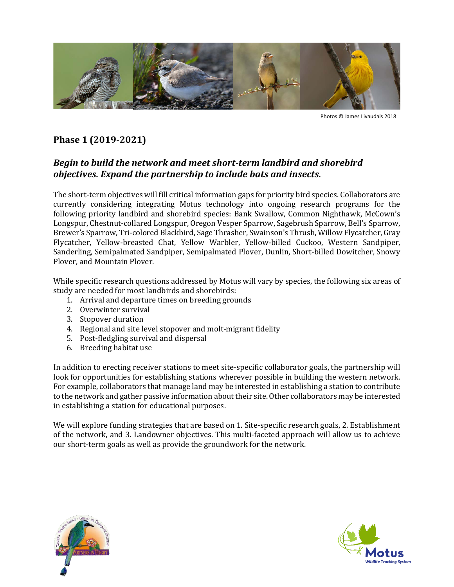

Photos © James Livaudais 2018

### **Phase 1 (2019-2021)**

### *Begin to build the network and meet short-term landbird and shorebird objectives. Expand the partnership to include bats and insects.*

The short-term objectives will fill critical information gaps for priority bird species. Collaborators are currently considering integrating Motus technology into ongoing research programs for the following priority landbird and shorebird species: Bank Swallow, Common Nighthawk, McCown's Longspur, Chestnut-collared Longspur, Oregon Vesper Sparrow, Sagebrush Sparrow, Bell's Sparrow, Brewer's Sparrow, Tri-colored Blackbird, Sage Thrasher, Swainson's Thrush, Willow Flycatcher, Gray Flycatcher, Yellow-breasted Chat, Yellow Warbler, Yellow-billed Cuckoo, Western Sandpiper, Sanderling, Semipalmated Sandpiper, Semipalmated Plover, Dunlin, Short-billed Dowitcher, Snowy Plover, and Mountain Plover.

While specific research questions addressed by Motus will vary by species, the following six areas of study are needed for most landbirds and shorebirds:

- 1. Arrival and departure times on breeding grounds
- 2. Overwinter survival
- 3. Stopover duration
- 4. Regional and site level stopover and molt-migrant fidelity
- 5. Post-fledgling survival and dispersal
- 6. Breeding habitat use

In addition to erecting receiver stations to meet site-specific collaborator goals, the partnership will look for opportunities for establishing stations wherever possible in building the western network. For example, collaborators that manage land may be interested in establishing a station to contribute to the network and gather passive information about their site. Other collaborators may be interested in establishing a station for educational purposes.

We will explore funding strategies that are based on 1. Site-specific research goals, 2. Establishment of the network, and 3. Landowner objectives. This multi-faceted approach will allow us to achieve our short-term goals as well as provide the groundwork for the network.